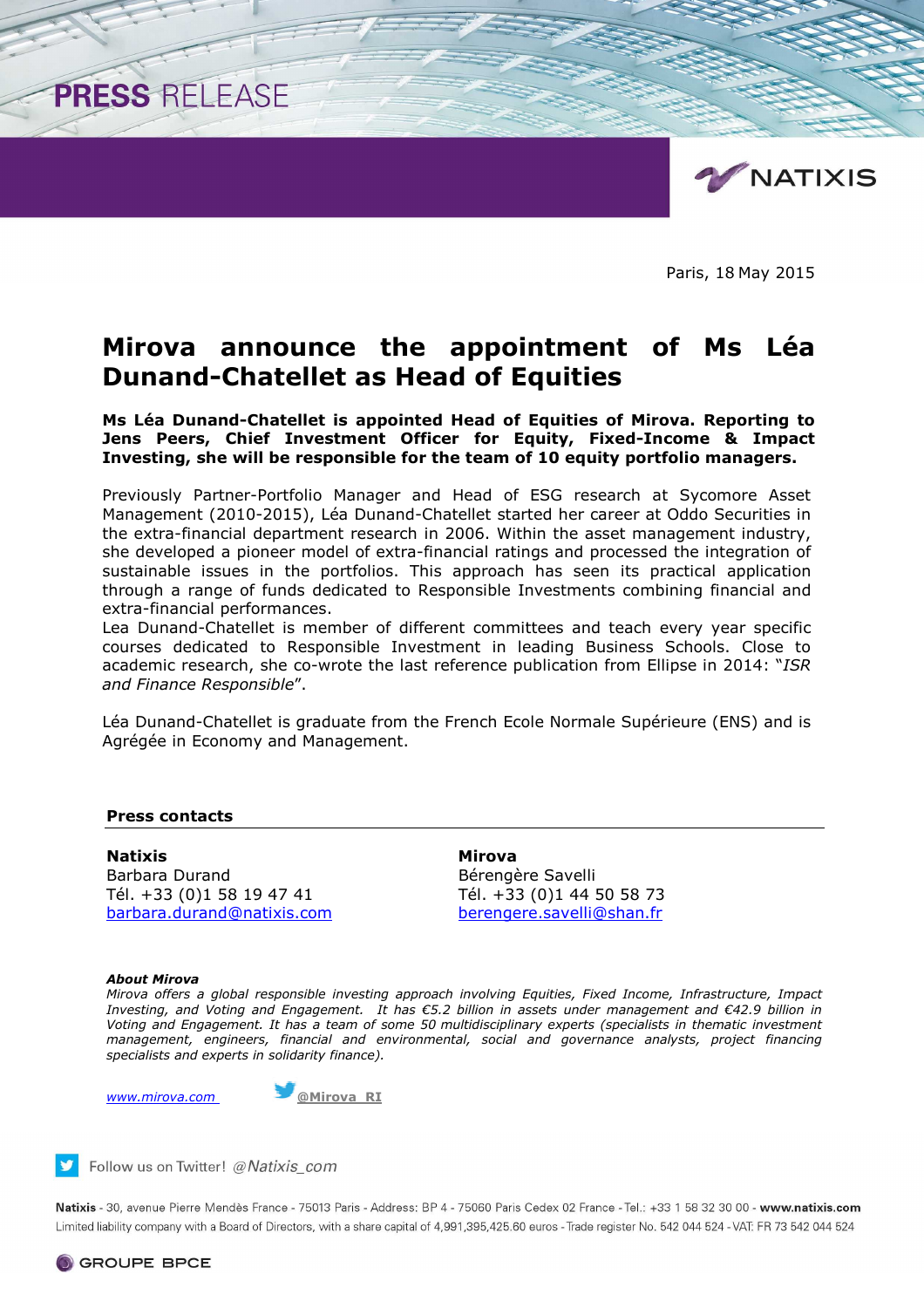

Paris, 18 May 2015

# **Mirova announce the appointment of Ms Léa Dunand-Chatellet as Head of Equities**

**Ms Léa Dunand-Chatellet is appointed Head of Equities of Mirova. Reporting to Jens Peers, Chief Investment Officer for Equity, Fixed-Income & Impact Investing, she will be responsible for the team of 10 equity portfolio managers.** 

Previously Partner-Portfolio Manager and Head of ESG research at Sycomore Asset Management (2010-2015), Léa Dunand-Chatellet started her career at Oddo Securities in the extra-financial department research in 2006. Within the asset management industry, she developed a pioneer model of extra-financial ratings and processed the integration of sustainable issues in the portfolios. This approach has seen its practical application through a range of funds dedicated to Responsible Investments combining financial and extra-financial performances.

Lea Dunand-Chatellet is member of different committees and teach every year specific courses dedicated to Responsible Investment in leading Business Schools. Close to academic research, she co-wrote the last reference publication from Ellipse in 2014: "*ISR and Finance Responsible*".

Léa Dunand-Chatellet is graduate from the French Ecole Normale Supérieure (ENS) and is Agrégée in Economy and Management.

## **Press contacts**

PRESS RELEASE

**Natixis** Mirova Barbara Durand Bérengère Savelli Tél. +33 (0)1 58 19 47 41 Tél. +33 (0)1 44 50 58 73 barbara.durand@natixis.com berengere.savelli@shan.fr

#### *About Mirova*

*Mirova offers a global responsible investing approach involving Equities, Fixed Income, Infrastructure, Impact Investing, and Voting and Engagement. It has €5.2 billion in assets under management and €42.9 billion in Voting and Engagement. It has a team of some 50 multidisciplinary experts (specialists in thematic investment management, engineers, financial and environmental, social and governance analysts, project financing specialists and experts in solidarity finance).* 



Follow us on Twitter! @Natixis com

Natixis - 30, avenue Pierre Mendès France - 75013 Paris - Address: BP 4 - 75060 Paris Cedex 02 France - Tel.: +33 1 58 32 30 00 - www.natixis.com Limited liability company with a Board of Directors, with a share capital of 4,991,395,425.60 euros - Trade register No. 542 044 524 - VAT: FR 73 542 044 524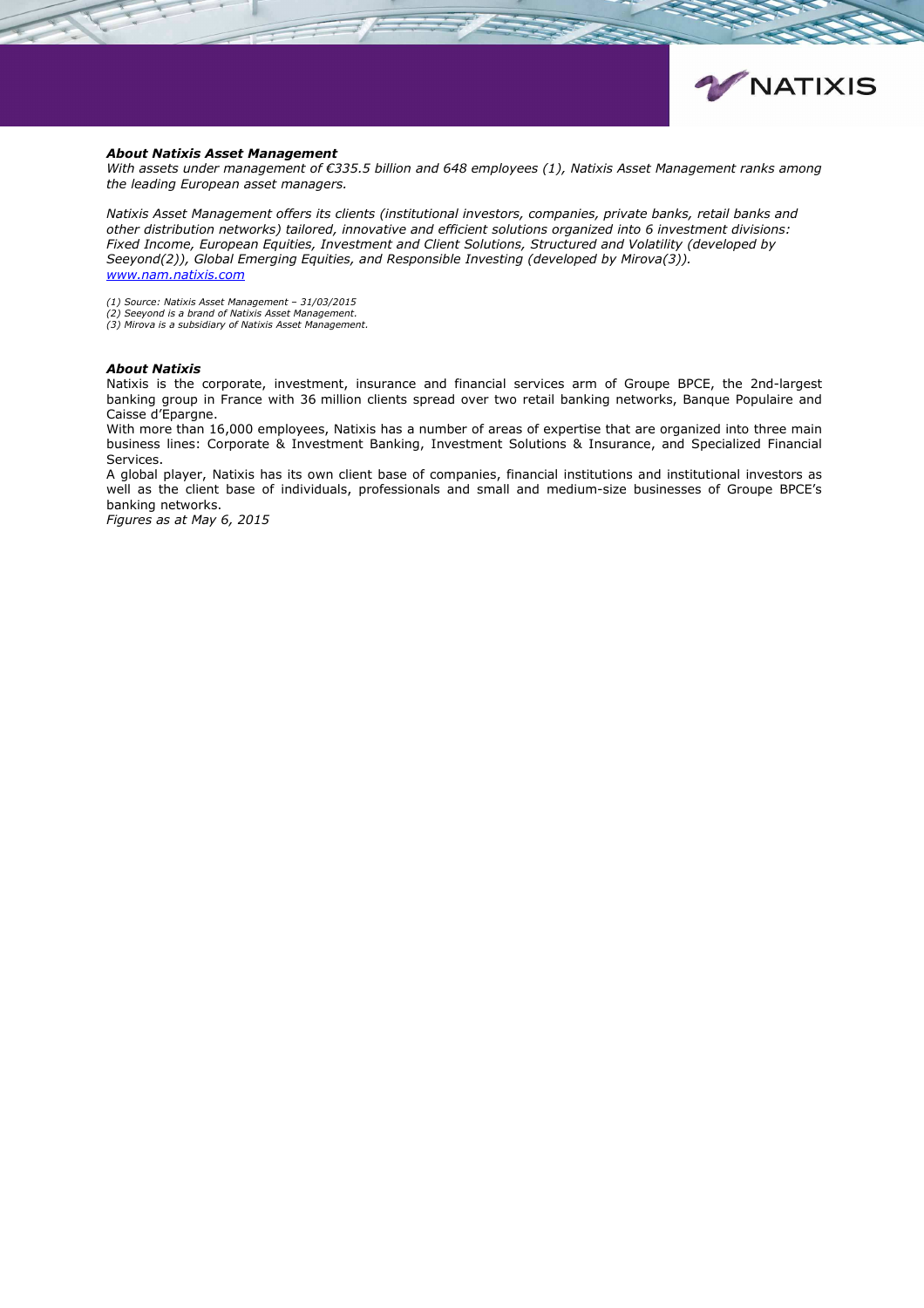

#### *About Natixis Asset Management*

*With assets under management of €335.5 billion and 648 employees (1), Natixis Asset Management ranks among the leading European asset managers.* 

*Natixis Asset Management offers its clients (institutional investors, companies, private banks, retail banks and other distribution networks) tailored, innovative and efficient solutions organized into 6 investment divisions: Fixed Income, European Equities, Investment and Client Solutions, Structured and Volatility (developed by Seeyond(2)), Global Emerging Equities, and Responsible Investing (developed by Mirova(3)). www.nam.natixis.com*

*(1) Source: Natixis Asset Management – 31/03/2015 (2) Seeyond is a brand of Natixis Asset Management.*

*(3) Mirova is a subsidiary of Natixis Asset Management.* 

### *About Natixis*

Natixis is the corporate, investment, insurance and financial services arm of Groupe BPCE, the 2nd-largest banking group in France with 36 million clients spread over two retail banking networks, Banque Populaire and Caisse d'Epargne.

With more than 16,000 employees, Natixis has a number of areas of expertise that are organized into three main business lines: Corporate & Investment Banking, Investment Solutions & Insurance, and Specialized Financial Services.

A global player, Natixis has its own client base of companies, financial institutions and institutional investors as well as the client base of individuals, professionals and small and medium-size businesses of Groupe BPCE's banking networks.

*Figures as at May 6, 2015*